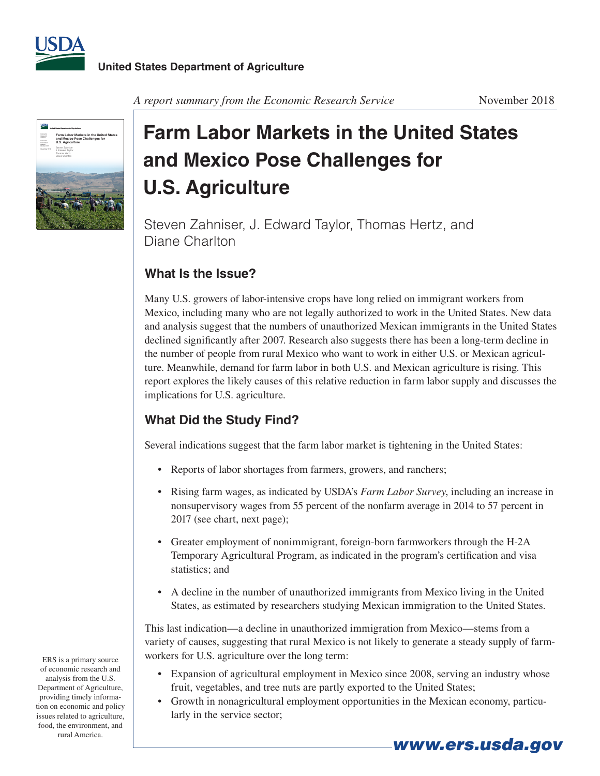



*A report summary from the Economic Research Service* November 2018

# **Farm Labor Markets in the United States and Mexico Pose Challenges for U.S. Agriculture**

Steven Zahniser, J. Edward Taylor, Thomas Hertz, and Diane Charlton

## **What Is the Issue?**

Many U.S. growers of labor-intensive crops have long relied on immigrant workers from Mexico, including many who are not legally authorized to work in the United States. New data and analysis suggest that the numbers of unauthorized Mexican immigrants in the United States declined significantly after 2007. Research also suggests there has been a long-term decline in the number of people from rural Mexico who want to work in either U.S. or Mexican agriculture. Meanwhile, demand for farm labor in both U.S. and Mexican agriculture is rising. This report explores the likely causes of this relative reduction in farm labor supply and discusses the implications for U.S. agriculture.

## **What Did the Study Find?**

Several indications suggest that the farm labor market is tightening in the United States:

- Reports of labor shortages from farmers, growers, and ranchers;
- Rising farm wages, as indicated by USDA's *Farm Labor Survey*, including an increase in nonsupervisory wages from 55 percent of the nonfarm average in 2014 to 57 percent in 2017 (see chart, next page);
- Greater employment of nonimmigrant, foreign-born farmworkers through the H-2A Temporary Agricultural Program, as indicated in the program's certification and visa statistics; and
- • A decline in the number of unauthorized immigrants from Mexico living in the United States, as estimated by researchers studying Mexican immigration to the United States.

This last indication—a decline in unauthorized immigration from Mexico—stems from a variety of causes, suggesting that rural Mexico is not likely to generate a steady supply of farmworkers for U.S. agriculture over the long term:

- Expansion of agricultural employment in Mexico since 2008, serving an industry whose fruit, vegetables, and tree nuts are partly exported to the United States;
- Growth in nonagricultural employment opportunities in the Mexican economy, particularly in the service sector;

ERS is a primary source of economic research and analysis from the U.S. Department of Agriculture, providing timely information on economic and policy issues related to agriculture, food, the environment, and rural America.